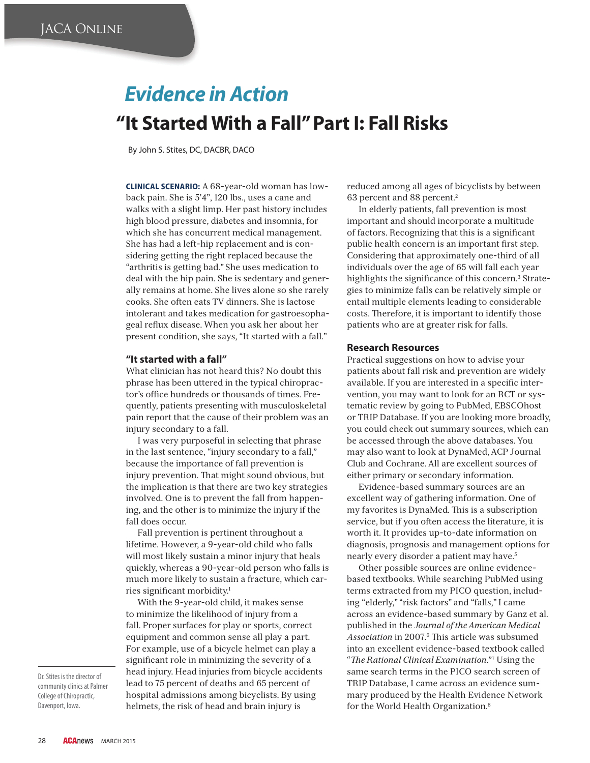# *Evidence in Action* **"It Started With a Fall" Part I: Fall Risks**

By John S. Stites, DC, DACBR, DACO

**CLINICAL SCENARIO:** A 68-year-old woman has lowback pain. She is 5'4", 120 lbs., uses a cane and walks with a slight limp. Her past history includes high blood pressure, diabetes and insomnia, for which she has concurrent medical management. She has had a left-hip replacement and is considering getting the right replaced because the "arthritis is getting bad." She uses medication to deal with the hip pain. She is sedentary and generally remains at home. She lives alone so she rarely cooks. She often eats TV dinners. She is lactose intolerant and takes medication for gastroesophageal reflux disease. When you ask her about her present condition, she says, "It started with a fall."

### **"It started with a fall"**

What clinician has not heard this? No doubt this phrase has been uttered in the typical chiropractor's office hundreds or thousands of times. Frequently, patients presenting with musculoskeletal pain report that the cause of their problem was an injury secondary to a fall.

I was very purposeful in selecting that phrase in the last sentence, "injury secondary to a fall," because the importance of fall prevention is injury prevention. That might sound obvious, but the implication is that there are two key strategies involved. One is to prevent the fall from happening, and the other is to minimize the injury if the fall does occur.

Fall prevention is pertinent throughout a lifetime. However, a 9-year-old child who falls will most likely sustain a minor injury that heals quickly, whereas a 90-year-old person who falls is much more likely to sustain a fracture, which carries significant morbidity.<sup>1</sup>

With the 9-year-old child, it makes sense to minimize the likelihood of injury from a fall. Proper surfaces for play or sports, correct equipment and common sense all play a part. For example, use of a bicycle helmet can play a significant role in minimizing the severity of a head injury. Head injuries from bicycle accidents lead to 75 percent of deaths and 65 percent of hospital admissions among bicyclists. By using helmets, the risk of head and brain injury is

reduced among all ages of bicyclists by between 63 percent and 88 percent.2

In elderly patients, fall prevention is most important and should incorporate a multitude of factors. Recognizing that this is a significant public health concern is an important first step. Considering that approximately one-third of all individuals over the age of 65 will fall each year highlights the significance of this concern.<sup>3</sup> Strategies to minimize falls can be relatively simple or entail multiple elements leading to considerable costs. Therefore, it is important to identify those patients who are at greater risk for falls.

#### **Research Resources**

Practical suggestions on how to advise your patients about fall risk and prevention are widely available. If you are interested in a specific intervention, you may want to look for an RCT or systematic review by going to PubMed, EBSCOhost or TRIP Database. If you are looking more broadly, you could check out summary sources, which can be accessed through the above databases. You may also want to look at DynaMed, ACP Journal Club and Cochrane. All are excellent sources of either primary or secondary information.

Evidence-based summary sources are an excellent way of gathering information. One of my favorites is DynaMed. This is a subscription service, but if you often access the literature, it is worth it. It provides up-to-date information on diagnosis, prognosis and management options for nearly every disorder a patient may have.5

Other possible sources are online evidencebased textbooks. While searching PubMed using terms extracted from my PICO question, including "elderly," "risk factors" and "falls," I came across an evidence-based summary by Ganz et al. published in the *Journal of the American Medical*  Association in 2007.<sup>6</sup> This article was subsumed into an excellent evidence-based textbook called "*- e Rational Clinical Examination*."7 Using the same search terms in the PICO search screen of TRIP Database, I came across an evidence summary produced by the Health Evidence Network for the World Health Organization.8

Dr. Stites is the director of community clinics at Palmer College of Chiropractic, Davenport, Iowa.